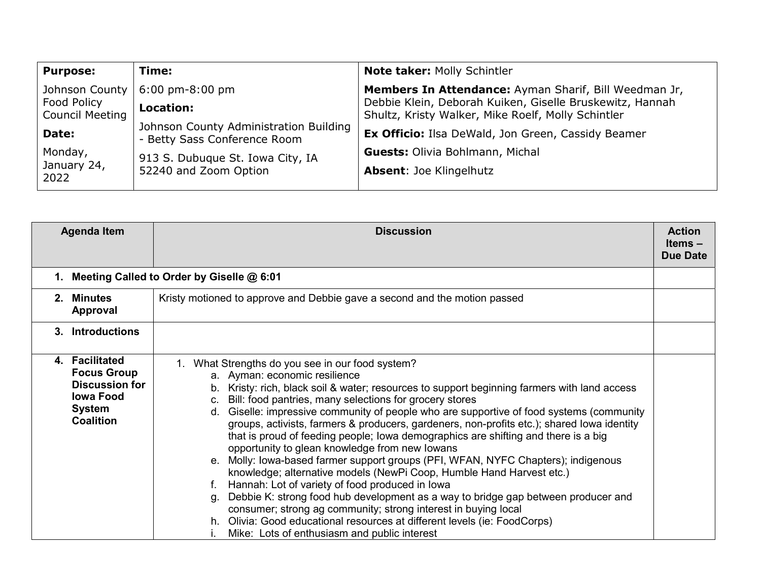| <b>Purpose:</b>                       | Time:                                                                  | Note taker: Molly Schintler                                                                                    |
|---------------------------------------|------------------------------------------------------------------------|----------------------------------------------------------------------------------------------------------------|
| Johnson County                        | $6:00 \text{ pm-}8:00 \text{ pm}$                                      | Members In Attendance: Ayman Sharif, Bill Weedman Jr,                                                          |
| Food Policy<br><b>Council Meeting</b> | Location:                                                              | Debbie Klein, Deborah Kuiken, Giselle Bruskewitz, Hannah<br>Shultz, Kristy Walker, Mike Roelf, Molly Schintler |
| Date:                                 | Johnson County Administration Building<br>- Betty Sass Conference Room | Ex Officio: Ilsa DeWald, Jon Green, Cassidy Beamer                                                             |
| Monday,                               | 913 S. Dubuque St. Iowa City, IA                                       | <b>Guests: Olivia Bohlmann, Michal</b>                                                                         |
| January 24,<br>2022                   | 52240 and Zoom Option                                                  | <b>Absent: Joe Klingelhutz</b>                                                                                 |

|         | <b>Agenda Item</b>                                                                                                     | <b>Discussion</b>                                                                                                                                                                                                                                                                                                                                                                                                                                                                                                                                                                                                                                                                                                                                                                                                                                                                                                                                                                                                                                                                                    | <b>Action</b><br>Items-<br><b>Due Date</b> |
|---------|------------------------------------------------------------------------------------------------------------------------|------------------------------------------------------------------------------------------------------------------------------------------------------------------------------------------------------------------------------------------------------------------------------------------------------------------------------------------------------------------------------------------------------------------------------------------------------------------------------------------------------------------------------------------------------------------------------------------------------------------------------------------------------------------------------------------------------------------------------------------------------------------------------------------------------------------------------------------------------------------------------------------------------------------------------------------------------------------------------------------------------------------------------------------------------------------------------------------------------|--------------------------------------------|
| 1.      |                                                                                                                        | Meeting Called to Order by Giselle @ 6:01                                                                                                                                                                                                                                                                                                                                                                                                                                                                                                                                                                                                                                                                                                                                                                                                                                                                                                                                                                                                                                                            |                                            |
| $2_{-}$ | Minutes<br>Approval                                                                                                    | Kristy motioned to approve and Debbie gave a second and the motion passed                                                                                                                                                                                                                                                                                                                                                                                                                                                                                                                                                                                                                                                                                                                                                                                                                                                                                                                                                                                                                            |                                            |
| 3.      | <b>Introductions</b>                                                                                                   |                                                                                                                                                                                                                                                                                                                                                                                                                                                                                                                                                                                                                                                                                                                                                                                                                                                                                                                                                                                                                                                                                                      |                                            |
|         | 4. Facilitated<br><b>Focus Group</b><br><b>Discussion for</b><br><b>Iowa Food</b><br><b>System</b><br><b>Coalition</b> | 1. What Strengths do you see in our food system?<br>a. Ayman: economic resilience<br>Kristy: rich, black soil & water; resources to support beginning farmers with land access<br>b.<br>Bill: food pantries, many selections for grocery stores<br>C.<br>Giselle: impressive community of people who are supportive of food systems (community<br>d.<br>groups, activists, farmers & producers, gardeners, non-profits etc.); shared lowa identity<br>that is proud of feeding people; lowa demographics are shifting and there is a big<br>opportunity to glean knowledge from new lowans<br>Molly: Iowa-based farmer support groups (PFI, WFAN, NYFC Chapters); indigenous<br>knowledge; alternative models (NewPi Coop, Humble Hand Harvest etc.)<br>Hannah: Lot of variety of food produced in lowa<br>Debbie K: strong food hub development as a way to bridge gap between producer and<br>a.<br>consumer; strong ag community; strong interest in buying local<br>Olivia: Good educational resources at different levels (ie: FoodCorps)<br>h.<br>Mike: Lots of enthusiasm and public interest |                                            |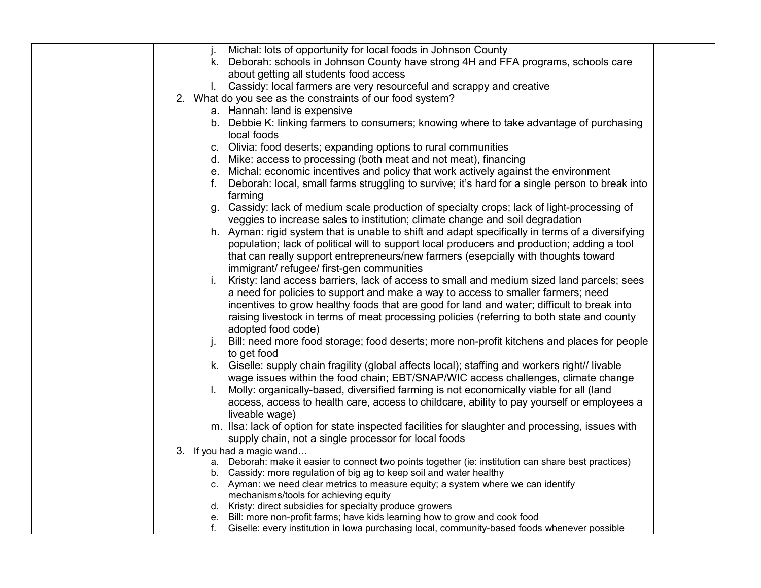| Michal: lots of opportunity for local foods in Johnson County<br>j.                                                                                                                  |
|--------------------------------------------------------------------------------------------------------------------------------------------------------------------------------------|
| k. Deborah: schools in Johnson County have strong 4H and FFA programs, schools care<br>about getting all students food access                                                        |
| Cassidy: local farmers are very resourceful and scrappy and creative                                                                                                                 |
| 2. What do you see as the constraints of our food system?                                                                                                                            |
| a. Hannah: land is expensive                                                                                                                                                         |
| b. Debbie K: linking farmers to consumers; knowing where to take advantage of purchasing                                                                                             |
| local foods                                                                                                                                                                          |
| c. Olivia: food deserts; expanding options to rural communities                                                                                                                      |
| d. Mike: access to processing (both meat and not meat), financing                                                                                                                    |
| e. Michal: economic incentives and policy that work actively against the environment                                                                                                 |
| f. Deborah: local, small farms struggling to survive; it's hard for a single person to break into                                                                                    |
| farming                                                                                                                                                                              |
| g. Cassidy: lack of medium scale production of specialty crops; lack of light-processing of                                                                                          |
| veggies to increase sales to institution; climate change and soil degradation                                                                                                        |
| h. Ayman: rigid system that is unable to shift and adapt specifically in terms of a diversifying                                                                                     |
| population; lack of political will to support local producers and production; adding a tool                                                                                          |
| that can really support entrepreneurs/new farmers (esepcially with thoughts toward                                                                                                   |
| immigrant/refugee/first-gen communities                                                                                                                                              |
| Kristy: land access barriers, lack of access to small and medium sized land parcels; sees<br>i.                                                                                      |
| a need for policies to support and make a way to access to smaller farmers; need                                                                                                     |
| incentives to grow healthy foods that are good for land and water; difficult to break into                                                                                           |
| raising livestock in terms of meat processing policies (referring to both state and county                                                                                           |
| adopted food code)                                                                                                                                                                   |
| Bill: need more food storage; food deserts; more non-profit kitchens and places for people<br>j.                                                                                     |
| to get food                                                                                                                                                                          |
| k. Giselle: supply chain fragility (global affects local); staffing and workers right// livable<br>wage issues within the food chain; EBT/SNAP/WIC access challenges, climate change |
| Molly: organically-based, diversified farming is not economically viable for all (land<br>L.                                                                                         |
| access, access to health care, access to childcare, ability to pay yourself or employees a                                                                                           |
| liveable wage)                                                                                                                                                                       |
| m. Ilsa: lack of option for state inspected facilities for slaughter and processing, issues with                                                                                     |
| supply chain, not a single processor for local foods                                                                                                                                 |
| 3. If you had a magic wand                                                                                                                                                           |
| a. Deborah: make it easier to connect two points together (ie: institution can share best practices)                                                                                 |
| b. Cassidy: more regulation of big ag to keep soil and water healthy                                                                                                                 |
| c. Ayman: we need clear metrics to measure equity; a system where we can identify                                                                                                    |
| mechanisms/tools for achieving equity                                                                                                                                                |
| d. Kristy: direct subsidies for specialty produce growers<br>e. Bill: more non-profit farms; have kids learning how to grow and cook food                                            |
| Giselle: every institution in lowa purchasing local, community-based foods whenever possible<br>f.                                                                                   |
|                                                                                                                                                                                      |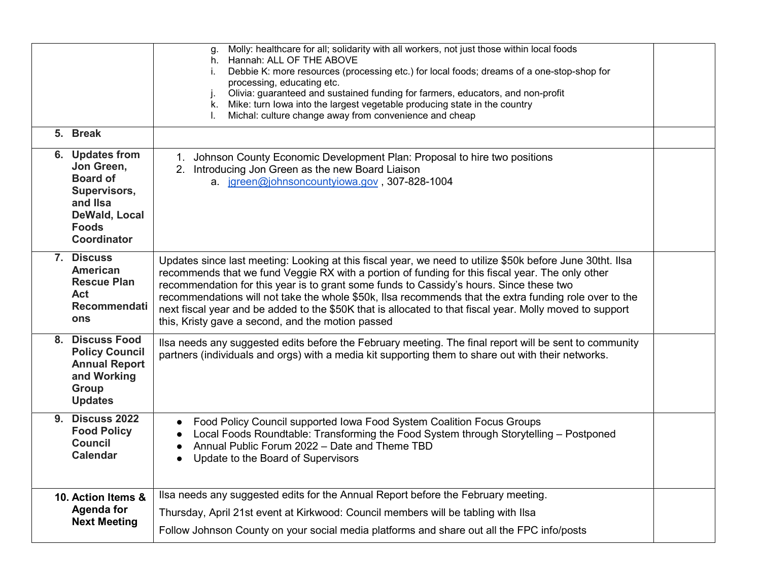|                                                                                                                              | Molly: healthcare for all; solidarity with all workers, not just those within local foods<br>g.<br>h. Hannah: ALL OF THE ABOVE<br>Debbie K: more resources (processing etc.) for local foods; dreams of a one-stop-shop for<br>İ.<br>processing, educating etc.<br>Olivia: guaranteed and sustained funding for farmers, educators, and non-profit<br>j.<br>k. Mike: turn lowa into the largest vegetable producing state in the country<br>Michal: culture change away from convenience and cheap                                                                                  |  |
|------------------------------------------------------------------------------------------------------------------------------|-------------------------------------------------------------------------------------------------------------------------------------------------------------------------------------------------------------------------------------------------------------------------------------------------------------------------------------------------------------------------------------------------------------------------------------------------------------------------------------------------------------------------------------------------------------------------------------|--|
| 5. Break                                                                                                                     |                                                                                                                                                                                                                                                                                                                                                                                                                                                                                                                                                                                     |  |
| 6. Updates from<br>Jon Green,<br><b>Board of</b><br>Supervisors,<br>and IIsa<br>DeWald, Local<br><b>Foods</b><br>Coordinator | 1. Johnson County Economic Development Plan: Proposal to hire two positions<br>2. Introducing Jon Green as the new Board Liaison<br>a. jgreen@johnsoncountyiowa.gov, 307-828-1004                                                                                                                                                                                                                                                                                                                                                                                                   |  |
| 7. Discuss<br><b>American</b><br><b>Rescue Plan</b><br><b>Act</b><br>Recommendati<br>ons                                     | Updates since last meeting: Looking at this fiscal year, we need to utilize \$50k before June 30tht. Ilsa<br>recommends that we fund Veggie RX with a portion of funding for this fiscal year. The only other<br>recommendation for this year is to grant some funds to Cassidy's hours. Since these two<br>recommendations will not take the whole \$50k, Ilsa recommends that the extra funding role over to the<br>next fiscal year and be added to the \$50K that is allocated to that fiscal year. Molly moved to support<br>this, Kristy gave a second, and the motion passed |  |
| <b>Discuss Food</b><br>8.<br><b>Policy Council</b><br><b>Annual Report</b><br>and Working<br>Group<br><b>Updates</b>         | Ilsa needs any suggested edits before the February meeting. The final report will be sent to community<br>partners (individuals and orgs) with a media kit supporting them to share out with their networks.                                                                                                                                                                                                                                                                                                                                                                        |  |
| <b>9. Discuss 2022</b><br><b>Food Policy</b><br><b>Council</b><br><b>Calendar</b>                                            | Food Policy Council supported Iowa Food System Coalition Focus Groups<br>Local Foods Roundtable: Transforming the Food System through Storytelling - Postponed<br>Annual Public Forum 2022 - Date and Theme TBD<br>Update to the Board of Supervisors<br>$\bullet$                                                                                                                                                                                                                                                                                                                  |  |
| 10. Action Items &<br><b>Agenda for</b><br><b>Next Meeting</b>                                                               | Ilsa needs any suggested edits for the Annual Report before the February meeting.<br>Thursday, April 21st event at Kirkwood: Council members will be tabling with Ilsa<br>Follow Johnson County on your social media platforms and share out all the FPC info/posts                                                                                                                                                                                                                                                                                                                 |  |